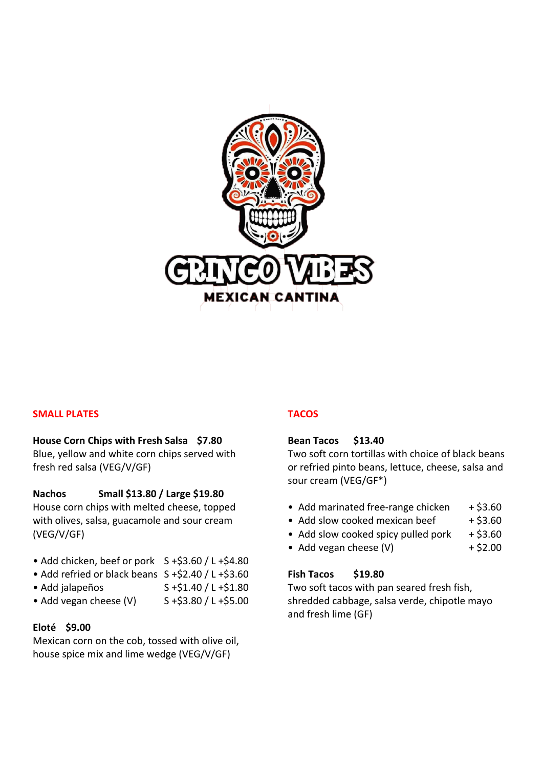

# **SMALL PLATES**

### **House Corn Chips with Fresh Salsa \$7.80**

Blue, yellow and white corn chips served with fresh red salsa (VEG/V/GF)

## **Nachos Small \$13.80 / Large \$19.80**

House corn chips with melted cheese, topped with olives, salsa, guacamole and sour cream (VEG/V/GF)

- Add chicken, beef or pork  $S + $3.60 / L + $4.80$
- Add refried or black beans S +\$2.40 / L +\$3.60
- Add jalapeños  $S + $1.40 / L + $1.80$
- Add vegan cheese  $(V)$  S +\$3.80 / L +\$5.00

### **Eloté \$9.00**

Mexican corn on the cob, tossed with olive oil, house spice mix and lime wedge (VEG/V/GF)

### **TACOS**

### **Bean Tacos \$13.40**

Two soft corn tortillas with choice of black beans or refried pinto beans, lettuce, cheese, salsa and sour cream (VEG/GF\*)

- Add marinated free-range chicken  $+ $3.60$
- Add slow cooked mexican beef  $+ $3.60$
- Add slow cooked spicy pulled pork  $+$  \$3.60
- Add vegan cheese  $(V)$  + \$2.00

# **Fish Tacos \$19.80**

Two soft tacos with pan seared fresh fish, shredded cabbage, salsa verde, chipotle mayo and fresh lime (GF)